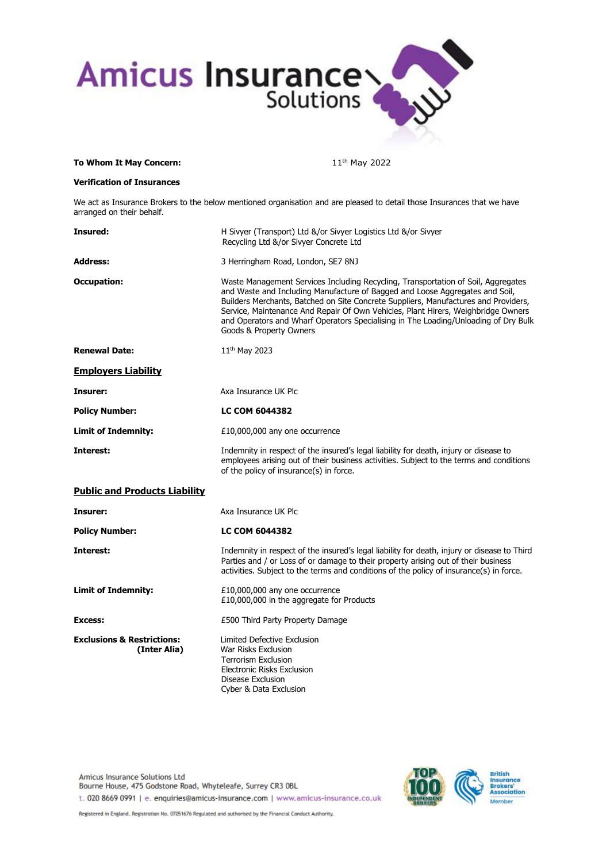

## **To Whom It May Concern:** 11<sup>th</sup> May 2022

## **Verification of Insurances**

We act as Insurance Brokers to the below mentioned organisation and are pleased to detail those Insurances that we have arranged on their behalf.

| Insured:                                              | H Sivyer (Transport) Ltd &/or Sivyer Logistics Ltd &/or Sivyer<br>Recycling Ltd &/or Sivyer Concrete Ltd                                                                                                                                                                                                                                                                                                                                                        |  |
|-------------------------------------------------------|-----------------------------------------------------------------------------------------------------------------------------------------------------------------------------------------------------------------------------------------------------------------------------------------------------------------------------------------------------------------------------------------------------------------------------------------------------------------|--|
| <b>Address:</b>                                       | 3 Herringham Road, London, SE7 8NJ                                                                                                                                                                                                                                                                                                                                                                                                                              |  |
| <b>Occupation:</b>                                    | Waste Management Services Including Recycling, Transportation of Soil, Aggregates<br>and Waste and Including Manufacture of Bagged and Loose Aggregates and Soil,<br>Builders Merchants, Batched on Site Concrete Suppliers, Manufactures and Providers,<br>Service, Maintenance And Repair Of Own Vehicles, Plant Hirers, Weighbridge Owners<br>and Operators and Wharf Operators Specialising in The Loading/Unloading of Dry Bulk<br>Goods & Property Owners |  |
| <b>Renewal Date:</b>                                  | 11 <sup>th</sup> May 2023                                                                                                                                                                                                                                                                                                                                                                                                                                       |  |
| <b>Employers Liability</b>                            |                                                                                                                                                                                                                                                                                                                                                                                                                                                                 |  |
| Insurer:                                              | Axa Insurance UK Plc                                                                                                                                                                                                                                                                                                                                                                                                                                            |  |
| <b>Policy Number:</b>                                 | <b>LC COM 6044382</b>                                                                                                                                                                                                                                                                                                                                                                                                                                           |  |
| <b>Limit of Indemnity:</b>                            | £10,000,000 any one occurrence                                                                                                                                                                                                                                                                                                                                                                                                                                  |  |
| Interest:                                             | Indemnity in respect of the insured's legal liability for death, injury or disease to<br>employees arising out of their business activities. Subject to the terms and conditions<br>of the policy of insurance(s) in force.                                                                                                                                                                                                                                     |  |
| <b>Public and Products Liability</b>                  |                                                                                                                                                                                                                                                                                                                                                                                                                                                                 |  |
| Insurer:                                              | Axa Insurance UK Plc                                                                                                                                                                                                                                                                                                                                                                                                                                            |  |
| <b>Policy Number:</b>                                 | <b>LC COM 6044382</b>                                                                                                                                                                                                                                                                                                                                                                                                                                           |  |
| Interest:                                             | Indemnity in respect of the insured's legal liability for death, injury or disease to Third<br>Parties and / or Loss of or damage to their property arising out of their business<br>activities. Subject to the terms and conditions of the policy of insurance(s) in force.                                                                                                                                                                                    |  |
| <b>Limit of Indemnity:</b>                            | £10,000,000 any one occurrence<br>£10,000,000 in the aggregate for Products                                                                                                                                                                                                                                                                                                                                                                                     |  |
| Excess:                                               | £500 Third Party Property Damage                                                                                                                                                                                                                                                                                                                                                                                                                                |  |
| <b>Exclusions &amp; Restrictions:</b><br>(Inter Alia) | Limited Defective Exclusion<br>War Risks Exclusion<br><b>Terrorism Exclusion</b><br>Electronic Risks Exclusion<br>Disease Exclusion<br>Cyber & Data Exclusion                                                                                                                                                                                                                                                                                                   |  |

Amicus Insurance Solutions Ltd Bourne House, 475 Godstone Road, Whyteleafe, Surrey CR3 0BL t. 020 8669 0991 | e. enquiries@amicus-insurance.com | www.amicus-insurance.co.uk



Registered in England, Registration No. 07051676 Regulated and authorised by the Financial Conduct Authority.